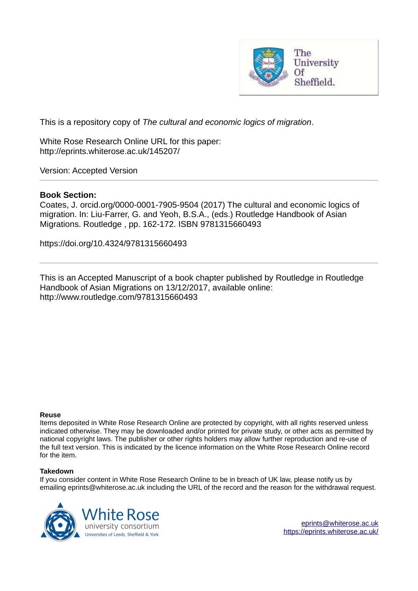

This is a repository copy of *The cultural and economic logics of migration*.

White Rose Research Online URL for this paper: http://eprints.whiterose.ac.uk/145207/

Version: Accepted Version

## **Book Section:**

Coates, J. orcid.org/0000-0001-7905-9504 (2017) The cultural and economic logics of migration. In: Liu-Farrer, G. and Yeoh, B.S.A., (eds.) Routledge Handbook of Asian Migrations. Routledge , pp. 162-172. ISBN 9781315660493

https://doi.org/10.4324/9781315660493

This is an Accepted Manuscript of a book chapter published by Routledge in Routledge Handbook of Asian Migrations on 13/12/2017, available online: http://www.routledge.com/9781315660493

## **Reuse**

Items deposited in White Rose Research Online are protected by copyright, with all rights reserved unless indicated otherwise. They may be downloaded and/or printed for private study, or other acts as permitted by national copyright laws. The publisher or other rights holders may allow further reproduction and re-use of the full text version. This is indicated by the licence information on the White Rose Research Online record for the item.

## **Takedown**

If you consider content in White Rose Research Online to be in breach of UK law, please notify us by emailing eprints@whiterose.ac.uk including the URL of the record and the reason for the withdrawal request.



[eprints@whiterose.ac.uk](mailto:eprints@whiterose.ac.uk) <https://eprints.whiterose.ac.uk/>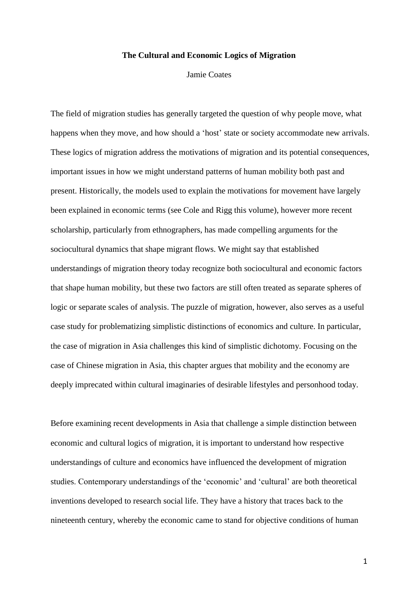## **The Cultural and Economic Logics of Migration**

Jamie Coates

The field of migration studies has generally targeted the question of why people move, what happens when they move, and how should a 'host' state or society accommodate new arrivals. These logics of migration address the motivations of migration and its potential consequences, important issues in how we might understand patterns of human mobility both past and present. Historically, the models used to explain the motivations for movement have largely been explained in economic terms (see Cole and Rigg this volume), however more recent scholarship, particularly from ethnographers, has made compelling arguments for the sociocultural dynamics that shape migrant flows. We might say that established understandings of migration theory today recognize both sociocultural and economic factors that shape human mobility, but these two factors are still often treated as separate spheres of logic or separate scales of analysis. The puzzle of migration, however, also serves as a useful case study for problematizing simplistic distinctions of economics and culture. In particular, the case of migration in Asia challenges this kind of simplistic dichotomy. Focusing on the case of Chinese migration in Asia, this chapter argues that mobility and the economy are deeply imprecated within cultural imaginaries of desirable lifestyles and personhood today.

Before examining recent developments in Asia that challenge a simple distinction between economic and cultural logics of migration, it is important to understand how respective understandings of culture and economics have influenced the development of migration studies. Contemporary understandings of the 'economic' and 'cultural' are both theoretical inventions developed to research social life. They have a history that traces back to the nineteenth century, whereby the economic came to stand for objective conditions of human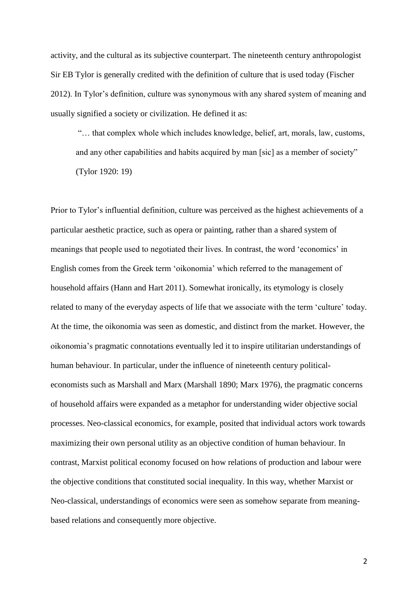activity, and the cultural as its subjective counterpart. The nineteenth century anthropologist Sir EB Tylor is generally credited with the definition of culture that is used today (Fischer 2012). In Tylor's definition, culture was synonymous with any shared system of meaning and usually signified a society or civilization. He defined it as:

"… that complex whole which includes knowledge, belief, art, morals, law, customs, and any other capabilities and habits acquired by man [sic] as a member of society" (Tylor 1920: 19)

Prior to Tylor's influential definition, culture was perceived as the highest achievements of a particular aesthetic practice, such as opera or painting, rather than a shared system of meanings that people used to negotiated their lives. In contrast, the word 'economics' in English comes from the Greek term 'oikonomia' which referred to the management of household affairs (Hann and Hart 2011). Somewhat ironically, its etymology is closely related to many of the everyday aspects of life that we associate with the term 'culture' today. At the time, the oikonomia was seen as domestic, and distinct from the market. However, the oikonomia's pragmatic connotations eventually led it to inspire utilitarian understandings of human behaviour. In particular, under the influence of nineteenth century politicaleconomists such as Marshall and Marx (Marshall 1890; Marx 1976), the pragmatic concerns of household affairs were expanded as a metaphor for understanding wider objective social processes. Neo-classical economics, for example, posited that individual actors work towards maximizing their own personal utility as an objective condition of human behaviour. In contrast, Marxist political economy focused on how relations of production and labour were the objective conditions that constituted social inequality. In this way, whether Marxist or Neo-classical, understandings of economics were seen as somehow separate from meaningbased relations and consequently more objective.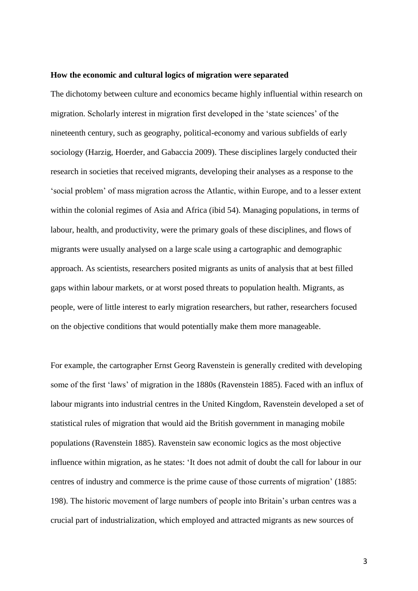#### **How the economic and cultural logics of migration were separated**

The dichotomy between culture and economics became highly influential within research on migration. Scholarly interest in migration first developed in the 'state sciences' of the nineteenth century, such as geography, political-economy and various subfields of early sociology (Harzig, Hoerder, and Gabaccia 2009). These disciplines largely conducted their research in societies that received migrants, developing their analyses as a response to the 'social problem' of mass migration across the Atlantic, within Europe, and to a lesser extent within the colonial regimes of Asia and Africa (ibid 54). Managing populations, in terms of labour, health, and productivity, were the primary goals of these disciplines, and flows of migrants were usually analysed on a large scale using a cartographic and demographic approach. As scientists, researchers posited migrants as units of analysis that at best filled gaps within labour markets, or at worst posed threats to population health. Migrants, as people, were of little interest to early migration researchers, but rather, researchers focused on the objective conditions that would potentially make them more manageable.

For example, the cartographer Ernst Georg Ravenstein is generally credited with developing some of the first 'laws' of migration in the 1880s (Ravenstein 1885). Faced with an influx of labour migrants into industrial centres in the United Kingdom, Ravenstein developed a set of statistical rules of migration that would aid the British government in managing mobile populations (Ravenstein 1885). Ravenstein saw economic logics as the most objective influence within migration, as he states: 'It does not admit of doubt the call for labour in our centres of industry and commerce is the prime cause of those currents of migration' (1885: 198). The historic movement of large numbers of people into Britain's urban centres was a crucial part of industrialization, which employed and attracted migrants as new sources of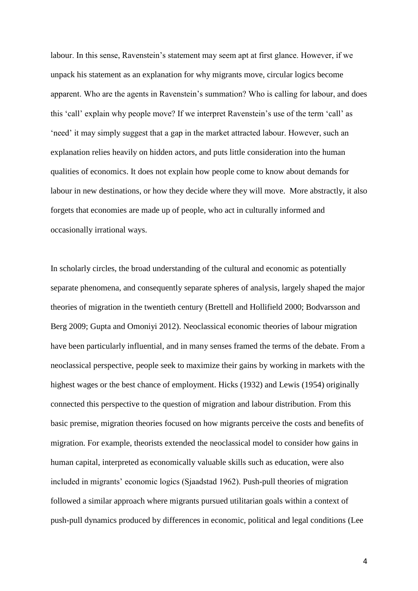labour. In this sense, Ravenstein's statement may seem apt at first glance. However, if we unpack his statement as an explanation for why migrants move, circular logics become apparent. Who are the agents in Ravenstein's summation? Who is calling for labour, and does this 'call' explain why people move? If we interpret Ravenstein's use of the term 'call' as 'need' it may simply suggest that a gap in the market attracted labour. However, such an explanation relies heavily on hidden actors, and puts little consideration into the human qualities of economics. It does not explain how people come to know about demands for labour in new destinations, or how they decide where they will move. More abstractly, it also forgets that economies are made up of people, who act in culturally informed and occasionally irrational ways.

In scholarly circles, the broad understanding of the cultural and economic as potentially separate phenomena, and consequently separate spheres of analysis, largely shaped the major theories of migration in the twentieth century (Brettell and Hollifield 2000; Bodvarsson and Berg 2009; Gupta and Omoniyi 2012). Neoclassical economic theories of labour migration have been particularly influential, and in many senses framed the terms of the debate. From a neoclassical perspective, people seek to maximize their gains by working in markets with the highest wages or the best chance of employment. Hicks (1932) and Lewis (1954) originally connected this perspective to the question of migration and labour distribution. From this basic premise, migration theories focused on how migrants perceive the costs and benefits of migration. For example, theorists extended the neoclassical model to consider how gains in human capital, interpreted as economically valuable skills such as education, were also included in migrants' economic logics (Sjaadstad 1962). Push-pull theories of migration followed a similar approach where migrants pursued utilitarian goals within a context of push-pull dynamics produced by differences in economic, political and legal conditions (Lee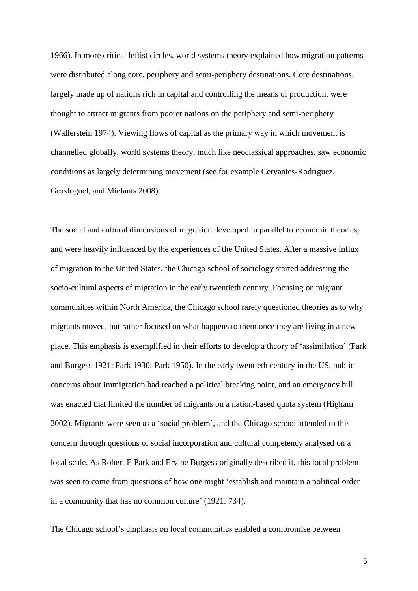1966). In more critical leftist circles, world systems theory explained how migration patterns were distributed along core, periphery and semi-periphery destinations. Core destinations, largely made up of nations rich in capital and controlling the means of production, were thought to attract migrants from poorer nations on the periphery and semi-periphery (Wallerstein 1974). Viewing flows of capital as the primary way in which movement is channelled globally, world systems theory, much like neoclassical approaches, saw economic conditions as largely determining movement (see for example Cervantes-Rodriguez, Grosfoguel, and Mielants 2008).

The social and cultural dimensions of migration developed in parallel to economic theories, and were heavily influenced by the experiences of the United States. After a massive influx of migration to the United States, the Chicago school of sociology started addressing the socio-cultural aspects of migration in the early twentieth century. Focusing on migrant communities within North America, the Chicago school rarely questioned theories as to why migrants moved, but rather focused on what happens to them once they are living in a new place. This emphasis is exemplified in their efforts to develop a theory of 'assimilation' (Park and Burgess 1921; Park 1930; Park 1950). In the early twentieth century in the US, public concerns about immigration had reached a political breaking point, and an emergency bill was enacted that limited the number of migrants on a nation-based quota system (Higham 2002). Migrants were seen as a 'social problem', and the Chicago school attended to this concern through questions of social incorporation and cultural competency analysed on a local scale. As Robert E Park and Ervine Burgess originally described it, this local problem was seen to come from questions of how one might 'establish and maintain a political order in a community that has no common culture' (1921: 734).

The Chicago school's emphasis on local communities enabled a compromise between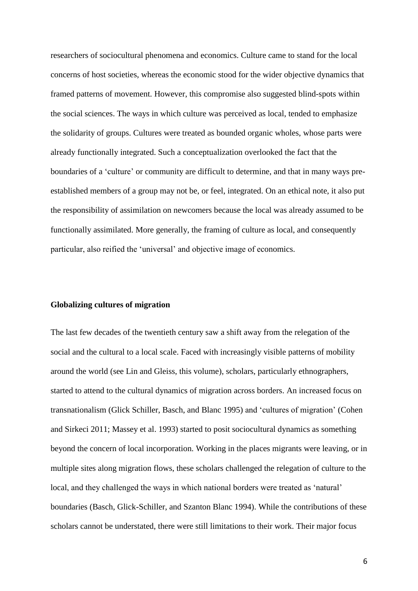researchers of sociocultural phenomena and economics. Culture came to stand for the local concerns of host societies, whereas the economic stood for the wider objective dynamics that framed patterns of movement. However, this compromise also suggested blind-spots within the social sciences. The ways in which culture was perceived as local, tended to emphasize the solidarity of groups. Cultures were treated as bounded organic wholes, whose parts were already functionally integrated. Such a conceptualization overlooked the fact that the boundaries of a 'culture' or community are difficult to determine, and that in many ways preestablished members of a group may not be, or feel, integrated. On an ethical note, it also put the responsibility of assimilation on newcomers because the local was already assumed to be functionally assimilated. More generally, the framing of culture as local, and consequently particular, also reified the 'universal' and objective image of economics.

#### **Globalizing cultures of migration**

The last few decades of the twentieth century saw a shift away from the relegation of the social and the cultural to a local scale. Faced with increasingly visible patterns of mobility around the world (see Lin and Gleiss, this volume), scholars, particularly ethnographers, started to attend to the cultural dynamics of migration across borders. An increased focus on transnationalism (Glick Schiller, Basch, and Blanc 1995) and 'cultures of migration' (Cohen and Sirkeci 2011; Massey et al. 1993) started to posit sociocultural dynamics as something beyond the concern of local incorporation. Working in the places migrants were leaving, or in multiple sites along migration flows, these scholars challenged the relegation of culture to the local, and they challenged the ways in which national borders were treated as 'natural' boundaries (Basch, Glick-Schiller, and Szanton Blanc 1994). While the contributions of these scholars cannot be understated, there were still limitations to their work. Their major focus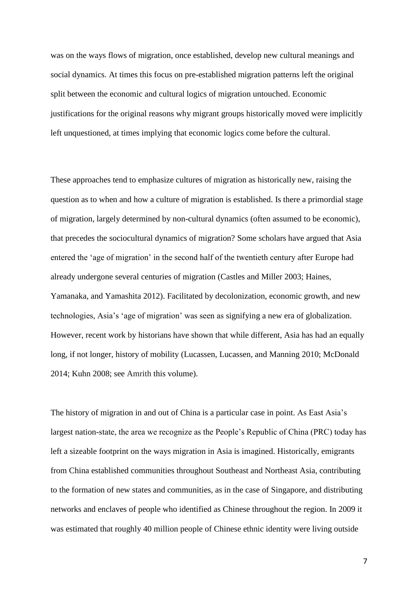was on the ways flows of migration, once established, develop new cultural meanings and social dynamics. At times this focus on pre-established migration patterns left the original split between the economic and cultural logics of migration untouched. Economic justifications for the original reasons why migrant groups historically moved were implicitly left unquestioned, at times implying that economic logics come before the cultural.

These approaches tend to emphasize cultures of migration as historically new, raising the question as to when and how a culture of migration is established. Is there a primordial stage of migration, largely determined by non-cultural dynamics (often assumed to be economic), that precedes the sociocultural dynamics of migration? Some scholars have argued that Asia entered the 'age of migration' in the second half of the twentieth century after Europe had already undergone several centuries of migration (Castles and Miller 2003; Haines, Yamanaka, and Yamashita 2012). Facilitated by decolonization, economic growth, and new technologies, Asia's 'age of migration' was seen as signifying a new era of globalization. However, recent work by historians have shown that while different, Asia has had an equally long, if not longer, history of mobility (Lucassen, Lucassen, and Manning 2010; McDonald 2014; Kuhn 2008; see Amrith this volume).

The history of migration in and out of China is a particular case in point. As East Asia's largest nation-state, the area we recognize as the People's Republic of China (PRC) today has left a sizeable footprint on the ways migration in Asia is imagined. Historically, emigrants from China established communities throughout Southeast and Northeast Asia, contributing to the formation of new states and communities, as in the case of Singapore, and distributing networks and enclaves of people who identified as Chinese throughout the region. In 2009 it was estimated that roughly 40 million people of Chinese ethnic identity were living outside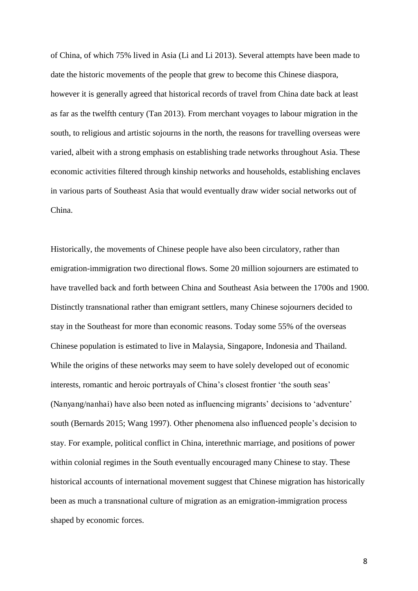of China, of which 75% lived in Asia (Li and Li 2013). Several attempts have been made to date the historic movements of the people that grew to become this Chinese diaspora, however it is generally agreed that historical records of travel from China date back at least as far as the twelfth century (Tan 2013). From merchant voyages to labour migration in the south, to religious and artistic sojourns in the north, the reasons for travelling overseas were varied, albeit with a strong emphasis on establishing trade networks throughout Asia. These economic activities filtered through kinship networks and households, establishing enclaves in various parts of Southeast Asia that would eventually draw wider social networks out of China.

Historically, the movements of Chinese people have also been circulatory, rather than emigration-immigration two directional flows. Some 20 million sojourners are estimated to have travelled back and forth between China and Southeast Asia between the 1700s and 1900. Distinctly transnational rather than emigrant settlers, many Chinese sojourners decided to stay in the Southeast for more than economic reasons. Today some 55% of the overseas Chinese population is estimated to live in Malaysia, Singapore, Indonesia and Thailand. While the origins of these networks may seem to have solely developed out of economic interests, romantic and heroic portrayals of China's closest frontier 'the south seas' (Nanyang/nanhai) have also been noted as influencing migrants' decisions to 'adventure' south (Bernards 2015; Wang 1997). Other phenomena also influenced people's decision to stay. For example, political conflict in China, interethnic marriage, and positions of power within colonial regimes in the South eventually encouraged many Chinese to stay. These historical accounts of international movement suggest that Chinese migration has historically been as much a transnational culture of migration as an emigration-immigration process shaped by economic forces.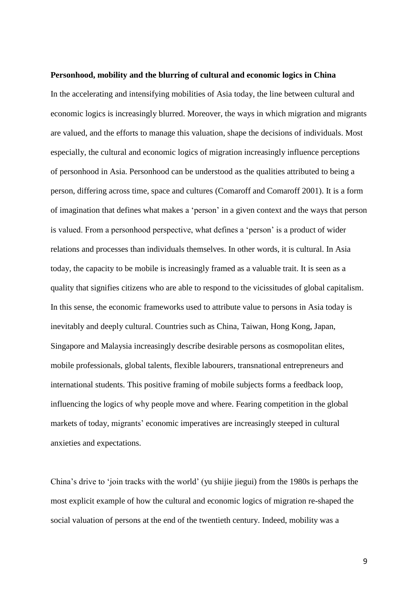# **Personhood, mobility and the blurring of cultural and economic logics in China**  In the accelerating and intensifying mobilities of Asia today, the line between cultural and economic logics is increasingly blurred. Moreover, the ways in which migration and migrants are valued, and the efforts to manage this valuation, shape the decisions of individuals. Most especially, the cultural and economic logics of migration increasingly influence perceptions of personhood in Asia. Personhood can be understood as the qualities attributed to being a person, differing across time, space and cultures (Comaroff and Comaroff 2001). It is a form of imagination that defines what makes a 'person' in a given context and the ways that person is valued. From a personhood perspective, what defines a 'person' is a product of wider relations and processes than individuals themselves. In other words, it is cultural. In Asia today, the capacity to be mobile is increasingly framed as a valuable trait. It is seen as a quality that signifies citizens who are able to respond to the vicissitudes of global capitalism. In this sense, the economic frameworks used to attribute value to persons in Asia today is inevitably and deeply cultural. Countries such as China, Taiwan, Hong Kong, Japan, Singapore and Malaysia increasingly describe desirable persons as cosmopolitan elites, mobile professionals, global talents, flexible labourers, transnational entrepreneurs and international students. This positive framing of mobile subjects forms a feedback loop, influencing the logics of why people move and where. Fearing competition in the global markets of today, migrants' economic imperatives are increasingly steeped in cultural anxieties and expectations.

China's drive to 'join tracks with the world' (yu shijie jiegui) from the 1980s is perhaps the most explicit example of how the cultural and economic logics of migration re-shaped the social valuation of persons at the end of the twentieth century. Indeed, mobility was a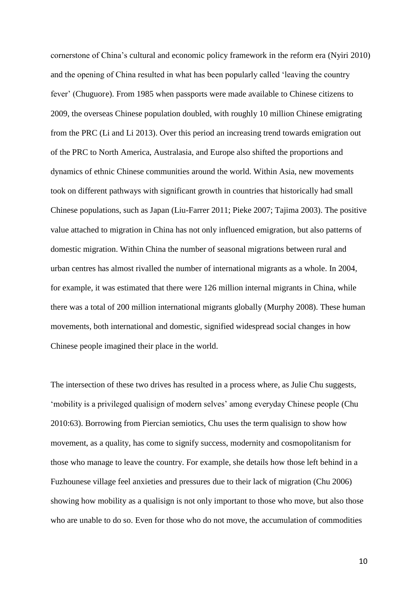cornerstone of China's cultural and economic policy framework in the reform era (Nyiri 2010) and the opening of China resulted in what has been popularly called 'leaving the country fever' (Chuguore). From 1985 when passports were made available to Chinese citizens to 2009, the overseas Chinese population doubled, with roughly 10 million Chinese emigrating from the PRC (Li and Li 2013). Over this period an increasing trend towards emigration out of the PRC to North America, Australasia, and Europe also shifted the proportions and dynamics of ethnic Chinese communities around the world. Within Asia, new movements took on different pathways with significant growth in countries that historically had small Chinese populations, such as Japan (Liu-Farrer 2011; Pieke 2007; Tajima 2003). The positive value attached to migration in China has not only influenced emigration, but also patterns of domestic migration. Within China the number of seasonal migrations between rural and urban centres has almost rivalled the number of international migrants as a whole. In 2004, for example, it was estimated that there were 126 million internal migrants in China, while there was a total of 200 million international migrants globally (Murphy 2008). These human movements, both international and domestic, signified widespread social changes in how Chinese people imagined their place in the world.

The intersection of these two drives has resulted in a process where, as Julie Chu suggests, 'mobility is a privileged qualisign of modern selves' among everyday Chinese people (Chu 2010:63). Borrowing from Piercian semiotics, Chu uses the term qualisign to show how movement, as a quality, has come to signify success, modernity and cosmopolitanism for those who manage to leave the country. For example, she details how those left behind in a Fuzhounese village feel anxieties and pressures due to their lack of migration (Chu 2006) showing how mobility as a qualisign is not only important to those who move, but also those who are unable to do so. Even for those who do not move, the accumulation of commodities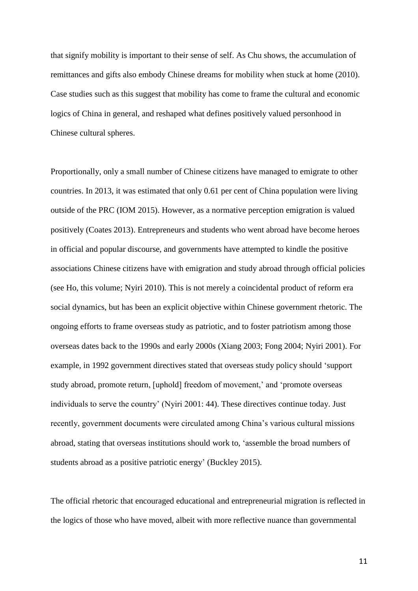that signify mobility is important to their sense of self. As Chu shows, the accumulation of remittances and gifts also embody Chinese dreams for mobility when stuck at home (2010). Case studies such as this suggest that mobility has come to frame the cultural and economic logics of China in general, and reshaped what defines positively valued personhood in Chinese cultural spheres.

Proportionally, only a small number of Chinese citizens have managed to emigrate to other countries. In 2013, it was estimated that only 0.61 per cent of China population were living outside of the PRC (IOM 2015). However, as a normative perception emigration is valued positively (Coates 2013). Entrepreneurs and students who went abroad have become heroes in official and popular discourse, and governments have attempted to kindle the positive associations Chinese citizens have with emigration and study abroad through official policies (see Ho, this volume; Nyiri 2010). This is not merely a coincidental product of reform era social dynamics, but has been an explicit objective within Chinese government rhetoric. The ongoing efforts to frame overseas study as patriotic, and to foster patriotism among those overseas dates back to the 1990s and early 2000s (Xiang 2003; Fong 2004; Nyiri 2001). For example, in 1992 government directives stated that overseas study policy should 'support study abroad, promote return, [uphold] freedom of movement,' and 'promote overseas individuals to serve the country' (Nyiri 2001: 44). These directives continue today. Just recently, government documents were circulated among China's various cultural missions abroad, stating that overseas institutions should work to, 'assemble the broad numbers of students abroad as a positive patriotic energy' (Buckley 2015).

The official rhetoric that encouraged educational and entrepreneurial migration is reflected in the logics of those who have moved, albeit with more reflective nuance than governmental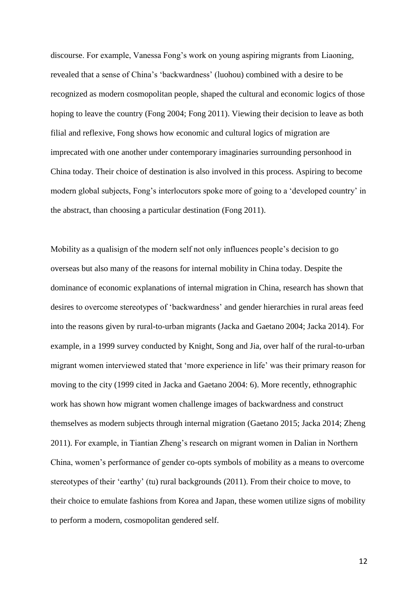discourse. For example, Vanessa Fong's work on young aspiring migrants from Liaoning, revealed that a sense of China's 'backwardness' (luohou) combined with a desire to be recognized as modern cosmopolitan people, shaped the cultural and economic logics of those hoping to leave the country (Fong 2004; Fong 2011). Viewing their decision to leave as both filial and reflexive, Fong shows how economic and cultural logics of migration are imprecated with one another under contemporary imaginaries surrounding personhood in China today. Their choice of destination is also involved in this process. Aspiring to become modern global subjects, Fong's interlocutors spoke more of going to a 'developed country' in the abstract, than choosing a particular destination (Fong 2011).

Mobility as a qualisign of the modern self not only influences people's decision to go overseas but also many of the reasons for internal mobility in China today. Despite the dominance of economic explanations of internal migration in China, research has shown that desires to overcome stereotypes of 'backwardness' and gender hierarchies in rural areas feed into the reasons given by rural-to-urban migrants (Jacka and Gaetano 2004; Jacka 2014). For example, in a 1999 survey conducted by Knight, Song and Jia, over half of the rural-to-urban migrant women interviewed stated that 'more experience in life' was their primary reason for moving to the city (1999 cited in Jacka and Gaetano 2004: 6). More recently, ethnographic work has shown how migrant women challenge images of backwardness and construct themselves as modern subjects through internal migration (Gaetano 2015; Jacka 2014; Zheng 2011). For example, in Tiantian Zheng's research on migrant women in Dalian in Northern China, women's performance of gender co-opts symbols of mobility as a means to overcome stereotypes of their 'earthy' (tu) rural backgrounds (2011). From their choice to move, to their choice to emulate fashions from Korea and Japan, these women utilize signs of mobility to perform a modern, cosmopolitan gendered self.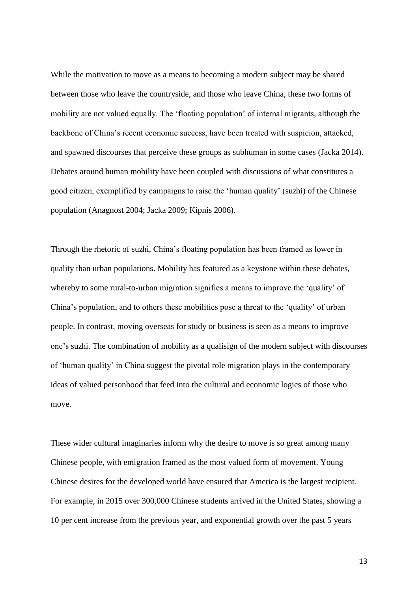While the motivation to move as a means to becoming a modern subject may be shared between those who leave the countryside, and those who leave China, these two forms of mobility are not valued equally. The 'floating population' of internal migrants, although the backbone of China's recent economic success, have been treated with suspicion, attacked, and spawned discourses that perceive these groups as subhuman in some cases (Jacka 2014). Debates around human mobility have been coupled with discussions of what constitutes a good citizen, exemplified by campaigns to raise the 'human quality' (suzhi) of the Chinese population (Anagnost 2004; Jacka 2009; Kipnis 2006).

Through the rhetoric of suzhi, China's floating population has been framed as lower in quality than urban populations. Mobility has featured as a keystone within these debates, whereby to some rural-to-urban migration signifies a means to improve the 'quality' of China's population, and to others these mobilities pose a threat to the 'quality' of urban people. In contrast, moving overseas for study or business is seen as a means to improve one's suzhi. The combination of mobility as a qualisign of the modern subject with discourses of 'human quality' in China suggest the pivotal role migration plays in the contemporary ideas of valued personhood that feed into the cultural and economic logics of those who move.

These wider cultural imaginaries inform why the desire to move is so great among many Chinese people, with emigration framed as the most valued form of movement. Young Chinese desires for the developed world have ensured that America is the largest recipient. For example, in 2015 over 300,000 Chinese students arrived in the United States, showing a 10 per cent increase from the previous year, and exponential growth over the past 5 years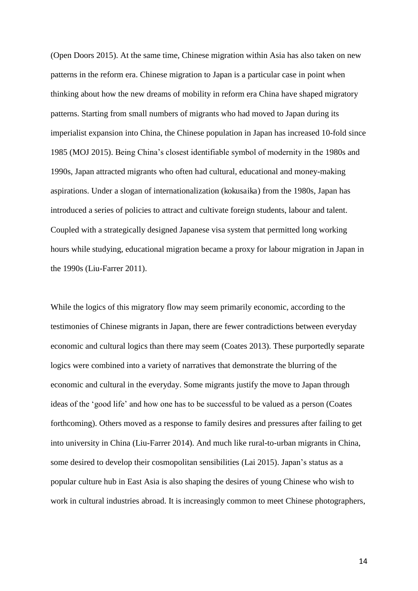(Open Doors 2015). At the same time, Chinese migration within Asia has also taken on new patterns in the reform era. Chinese migration to Japan is a particular case in point when thinking about how the new dreams of mobility in reform era China have shaped migratory patterns. Starting from small numbers of migrants who had moved to Japan during its imperialist expansion into China, the Chinese population in Japan has increased 10-fold since 1985 (MOJ 2015). Being China's closest identifiable symbol of modernity in the 1980s and 1990s, Japan attracted migrants who often had cultural, educational and money-making aspirations. Under a slogan of internationalization (kokusaika) from the 1980s, Japan has introduced a series of policies to attract and cultivate foreign students, labour and talent. Coupled with a strategically designed Japanese visa system that permitted long working hours while studying, educational migration became a proxy for labour migration in Japan in the 1990s (Liu-Farrer 2011).

While the logics of this migratory flow may seem primarily economic, according to the testimonies of Chinese migrants in Japan, there are fewer contradictions between everyday economic and cultural logics than there may seem (Coates 2013). These purportedly separate logics were combined into a variety of narratives that demonstrate the blurring of the economic and cultural in the everyday. Some migrants justify the move to Japan through ideas of the 'good life' and how one has to be successful to be valued as a person (Coates forthcoming). Others moved as a response to family desires and pressures after failing to get into university in China (Liu-Farrer 2014). And much like rural-to-urban migrants in China, some desired to develop their cosmopolitan sensibilities (Lai 2015). Japan's status as a popular culture hub in East Asia is also shaping the desires of young Chinese who wish to work in cultural industries abroad. It is increasingly common to meet Chinese photographers,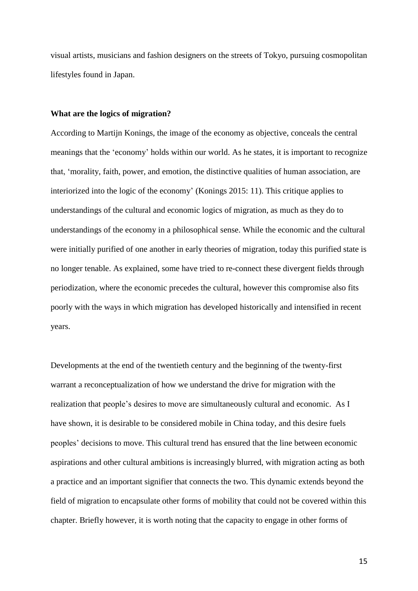visual artists, musicians and fashion designers on the streets of Tokyo, pursuing cosmopolitan lifestyles found in Japan.

## **What are the logics of migration?**

According to Martijn Konings, the image of the economy as objective, conceals the central meanings that the 'economy' holds within our world. As he states, it is important to recognize that, 'morality, faith, power, and emotion, the distinctive qualities of human association, are interiorized into the logic of the economy' (Konings 2015: 11). This critique applies to understandings of the cultural and economic logics of migration, as much as they do to understandings of the economy in a philosophical sense. While the economic and the cultural were initially purified of one another in early theories of migration, today this purified state is no longer tenable. As explained, some have tried to re-connect these divergent fields through periodization, where the economic precedes the cultural, however this compromise also fits poorly with the ways in which migration has developed historically and intensified in recent years.

Developments at the end of the twentieth century and the beginning of the twenty-first warrant a reconceptualization of how we understand the drive for migration with the realization that people's desires to move are simultaneously cultural and economic. As I have shown, it is desirable to be considered mobile in China today, and this desire fuels peoples' decisions to move. This cultural trend has ensured that the line between economic aspirations and other cultural ambitions is increasingly blurred, with migration acting as both a practice and an important signifier that connects the two. This dynamic extends beyond the field of migration to encapsulate other forms of mobility that could not be covered within this chapter. Briefly however, it is worth noting that the capacity to engage in other forms of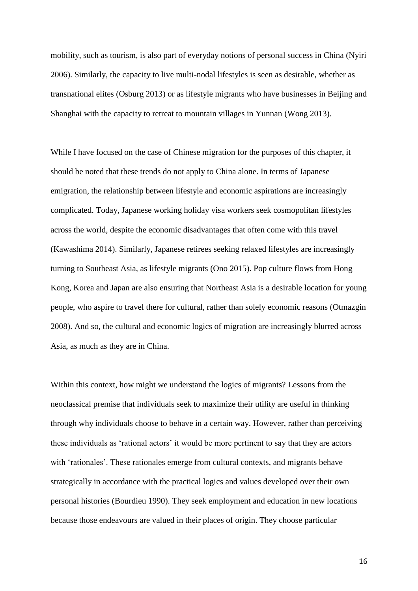mobility, such as tourism, is also part of everyday notions of personal success in China (Nyiri 2006). Similarly, the capacity to live multi-nodal lifestyles is seen as desirable, whether as transnational elites (Osburg 2013) or as lifestyle migrants who have businesses in Beijing and Shanghai with the capacity to retreat to mountain villages in Yunnan (Wong 2013).

While I have focused on the case of Chinese migration for the purposes of this chapter, it should be noted that these trends do not apply to China alone. In terms of Japanese emigration, the relationship between lifestyle and economic aspirations are increasingly complicated. Today, Japanese working holiday visa workers seek cosmopolitan lifestyles across the world, despite the economic disadvantages that often come with this travel (Kawashima 2014). Similarly, Japanese retirees seeking relaxed lifestyles are increasingly turning to Southeast Asia, as lifestyle migrants (Ono 2015). Pop culture flows from Hong Kong, Korea and Japan are also ensuring that Northeast Asia is a desirable location for young people, who aspire to travel there for cultural, rather than solely economic reasons (Otmazgin 2008). And so, the cultural and economic logics of migration are increasingly blurred across Asia, as much as they are in China.

Within this context, how might we understand the logics of migrants? Lessons from the neoclassical premise that individuals seek to maximize their utility are useful in thinking through why individuals choose to behave in a certain way. However, rather than perceiving these individuals as 'rational actors' it would be more pertinent to say that they are actors with 'rationales'. These rationales emerge from cultural contexts, and migrants behave strategically in accordance with the practical logics and values developed over their own personal histories (Bourdieu 1990). They seek employment and education in new locations because those endeavours are valued in their places of origin. They choose particular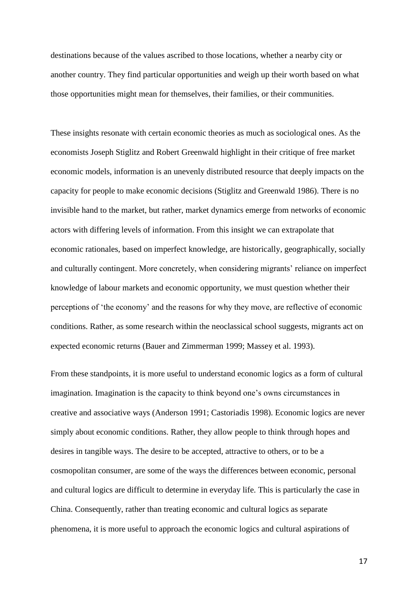destinations because of the values ascribed to those locations, whether a nearby city or another country. They find particular opportunities and weigh up their worth based on what those opportunities might mean for themselves, their families, or their communities.

These insights resonate with certain economic theories as much as sociological ones. As the economists Joseph Stiglitz and Robert Greenwald highlight in their critique of free market economic models, information is an unevenly distributed resource that deeply impacts on the capacity for people to make economic decisions (Stiglitz and Greenwald 1986). There is no invisible hand to the market, but rather, market dynamics emerge from networks of economic actors with differing levels of information. From this insight we can extrapolate that economic rationales, based on imperfect knowledge, are historically, geographically, socially and culturally contingent. More concretely, when considering migrants' reliance on imperfect knowledge of labour markets and economic opportunity, we must question whether their perceptions of 'the economy' and the reasons for why they move, are reflective of economic conditions. Rather, as some research within the neoclassical school suggests, migrants act on expected economic returns (Bauer and Zimmerman 1999; Massey et al. 1993).

From these standpoints, it is more useful to understand economic logics as a form of cultural imagination. Imagination is the capacity to think beyond one's owns circumstances in creative and associative ways (Anderson 1991; Castoriadis 1998). Economic logics are never simply about economic conditions. Rather, they allow people to think through hopes and desires in tangible ways. The desire to be accepted, attractive to others, or to be a cosmopolitan consumer, are some of the ways the differences between economic, personal and cultural logics are difficult to determine in everyday life. This is particularly the case in China. Consequently, rather than treating economic and cultural logics as separate phenomena, it is more useful to approach the economic logics and cultural aspirations of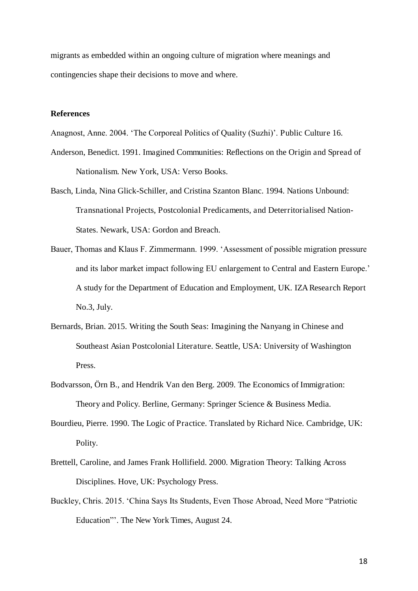migrants as embedded within an ongoing culture of migration where meanings and contingencies shape their decisions to move and where.

## **References**

Anagnost, Anne. 2004. 'The Corporeal Politics of Quality (Suzhi)'. Public Culture 16.

- Anderson, Benedict. 1991. Imagined Communities: Reflections on the Origin and Spread of Nationalism. New York, USA: Verso Books.
- Basch, Linda, Nina Glick-Schiller, and Cristina Szanton Blanc. 1994. Nations Unbound: Transnational Projects, Postcolonial Predicaments, and Deterritorialised Nation-States. Newark, USA: Gordon and Breach.
- Bauer, Thomas and Klaus F. Zimmermann. 1999. 'Assessment of possible migration pressure and its labor market impact following EU enlargement to Central and Eastern Europe.' A study for the Department of Education and Employment, UK. IZA Research Report No.3, July.
- Bernards, Brian. 2015. Writing the South Seas: Imagining the Nanyang in Chinese and Southeast Asian Postcolonial Literature. Seattle, USA: University of Washington Press.
- Bodvarsson, Örn B., and Hendrik Van den Berg. 2009. The Economics of Immigration: Theory and Policy. Berline, Germany: Springer Science & Business Media.
- Bourdieu, Pierre. 1990. The Logic of Practice. Translated by Richard Nice. Cambridge, UK: Polity.
- Brettell, Caroline, and James Frank Hollifield. 2000. Migration Theory: Talking Across Disciplines. Hove, UK: Psychology Press.
- Buckley, Chris. 2015. 'China Says Its Students, Even Those Abroad, Need More "Patriotic Education"'. The New York Times, August 24.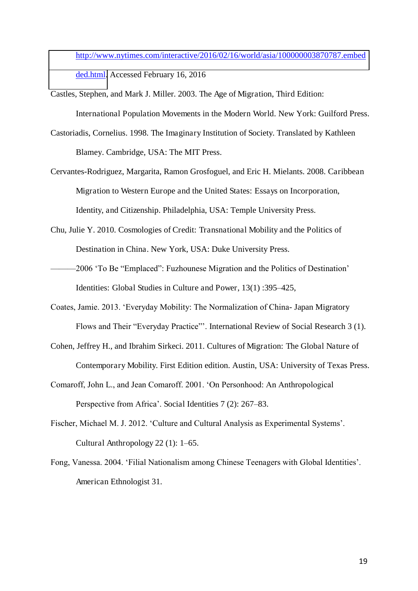[http://www.nytimes.com/interactive/2016/02/16/world/asia/100000003870787.embed](http://www.nytimes.com/interactive/2016/02/16/world/asia/100000003870787.embedded.html) [ded.html.](http://www.nytimes.com/interactive/2016/02/16/world/asia/100000003870787.embedded.html) Accessed February 16, 2016

- Castles, Stephen, and Mark J. Miller. 2003. The Age of Migration, Third Edition: International Population Movements in the Modern World. New York: Guilford Press.
- Castoriadis, Cornelius. 1998. The Imaginary Institution of Society. Translated by Kathleen Blamey. Cambridge, USA: The MIT Press.
- Cervantes-Rodriguez, Margarita, Ramon Grosfoguel, and Eric H. Mielants. 2008. Caribbean Migration to Western Europe and the United States: Essays on Incorporation, Identity, and Citizenship. Philadelphia, USA: Temple University Press.
- Chu, Julie Y. 2010. Cosmologies of Credit: Transnational Mobility and the Politics of Destination in China. New York, USA: Duke University Press.
- -2006 'To Be "Emplaced": Fuzhounese Migration and the Politics of Destination' Identities: Global Studies in Culture and Power, 13(1) :395–425,
- Coates, Jamie. 2013. 'Everyday Mobility: The Normalization of China- Japan Migratory Flows and Their "Everyday Practice"'. International Review of Social Research 3 (1).
- Cohen, Jeffrey H., and Ibrahim Sirkeci. 2011. Cultures of Migration: The Global Nature of Contemporary Mobility. First Edition edition. Austin, USA: University of Texas Press.
- Comaroff, John L., and Jean Comaroff. 2001. 'On Personhood: An Anthropological Perspective from Africa'. Social Identities 7 (2): 267–83.
- Fischer, Michael M. J. 2012. 'Culture and Cultural Analysis as Experimental Systems'. Cultural Anthropology 22 (1): 1–65.
- Fong, Vanessa. 2004. 'Filial Nationalism among Chinese Teenagers with Global Identities'. American Ethnologist 31.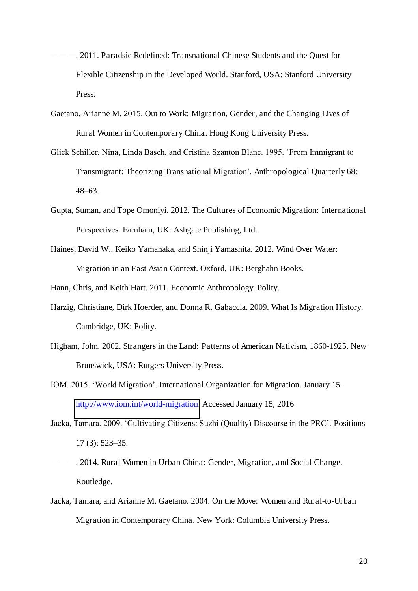- ———. 2011. Paradsie Redefined: Transnational Chinese Students and the Quest for Flexible Citizenship in the Developed World. Stanford, USA: Stanford University Press.
- Gaetano, Arianne M. 2015. Out to Work: Migration, Gender, and the Changing Lives of Rural Women in Contemporary China. Hong Kong University Press.
- Glick Schiller, Nina, Linda Basch, and Cristina Szanton Blanc. 1995. 'From Immigrant to Transmigrant: Theorizing Transnational Migration'. Anthropological Quarterly 68: 48–63.
- Gupta, Suman, and Tope Omoniyi. 2012. The Cultures of Economic Migration: International Perspectives. Farnham, UK: Ashgate Publishing, Ltd.
- Haines, David W., Keiko Yamanaka, and Shinji Yamashita. 2012. Wind Over Water: Migration in an East Asian Context. Oxford, UK: Berghahn Books.

Hann, Chris, and Keith Hart. 2011. Economic Anthropology. Polity.

- Harzig, Christiane, Dirk Hoerder, and Donna R. Gabaccia. 2009. What Is Migration History. Cambridge, UK: Polity.
- Higham, John. 2002. Strangers in the Land: Patterns of American Nativism, 1860-1925. New Brunswick, USA: Rutgers University Press.
- IOM. 2015. 'World Migration'. International Organization for Migration. January 15. [http://www.iom.int/world-migration.](http://www.iom.int/world-migration) Accessed January 15, 2016
- Jacka, Tamara. 2009. 'Cultivating Citizens: Suzhi (Quality) Discourse in the PRC'. Positions 17 (3): 523–35.
- ———. 2014. Rural Women in Urban China: Gender, Migration, and Social Change. Routledge.
- Jacka, Tamara, and Arianne M. Gaetano. 2004. On the Move: Women and Rural-to-Urban Migration in Contemporary China. New York: Columbia University Press.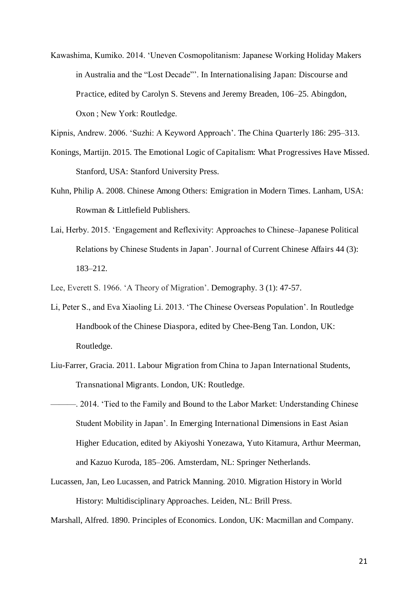Kawashima, Kumiko. 2014. 'Uneven Cosmopolitanism: Japanese Working Holiday Makers in Australia and the "Lost Decade"'. In Internationalising Japan: Discourse and Practice, edited by Carolyn S. Stevens and Jeremy Breaden, 106–25. Abingdon, Oxon; New York: Routledge.

Kipnis, Andrew. 2006. 'Suzhi: A Keyword Approach'. The China Quarterly 186: 295–313.

- Konings, Martijn. 2015. The Emotional Logic of Capitalism: What Progressives Have Missed. Stanford, USA: Stanford University Press.
- Kuhn, Philip A. 2008. Chinese Among Others: Emigration in Modern Times. Lanham, USA: Rowman & Littlefield Publishers.
- Lai, Herby. 2015. 'Engagement and Reflexivity: Approaches to Chinese–Japanese Political Relations by Chinese Students in Japan'. Journal of Current Chinese Affairs 44 (3): 183–212.

Lee, Everett S. 1966. 'A Theory of Migration'. Demography. 3 (1): 47-57.

- Li, Peter S., and Eva Xiaoling Li. 2013. 'The Chinese Overseas Population'. In Routledge Handbook of the Chinese Diaspora, edited by Chee-Beng Tan. London, UK: Routledge.
- Liu-Farrer, Gracia. 2011. Labour Migration from China to Japan International Students, Transnational Migrants. London, UK: Routledge.
- ———. 2014. 'Tied to the Family and Bound to the Labor Market: Understanding Chinese Student Mobility in Japan'. In Emerging International Dimensions in East Asian Higher Education, edited by Akiyoshi Yonezawa, Yuto Kitamura, Arthur Meerman, and Kazuo Kuroda, 185–206. Amsterdam, NL: Springer Netherlands.
- Lucassen, Jan, Leo Lucassen, and Patrick Manning. 2010. Migration History in World History: Multidisciplinary Approaches. Leiden, NL: Brill Press.

Marshall, Alfred. 1890. Principles of Economics. London, UK: Macmillan and Company.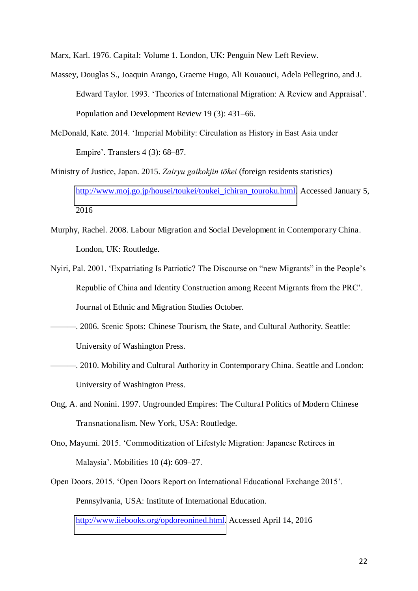Marx, Karl. 1976. Capital: Volume 1. London, UK: Penguin New Left Review.

- Massey, Douglas S., Joaquin Arango, Graeme Hugo, Ali Kouaouci, Adela Pellegrino, and J. Edward Taylor. 1993. 'Theories of International Migration: A Review and Appraisal'. Population and Development Review 19 (3): 431–66.
- McDonald, Kate. 2014. 'Imperial Mobility: Circulation as History in East Asia under Empire'. Transfers 4 (3): 68–87.
- Ministry of Justice, Japan. 2015. *Zairyu gaikokjin tōkei* (foreign residents statistics) [http://www.moj.go.jp/housei/toukei/toukei\\_ichiran\\_touroku.html.](http://www.moj.go.jp/housei/toukei/toukei_ichiran_touroku.html) Accessed January 5, 2016
- Murphy, Rachel. 2008. Labour Migration and Social Development in Contemporary China. London, UK: Routledge.
- Nyiri, Pal. 2001. 'Expatriating Is Patriotic? The Discourse on "new Migrants" in the People's Republic of China and Identity Construction among Recent Migrants from the PRC'. Journal of Ethnic and Migration Studies October.
- ———. 2006. Scenic Spots: Chinese Tourism, the State, and Cultural Authority. Seattle: University of Washington Press.
- ———. 2010. Mobility and Cultural Authority in Contemporary China. Seattle and London: University of Washington Press.
- Ong, A. and Nonini. 1997. Ungrounded Empires: The Cultural Politics of Modern Chinese Transnationalism. New York, USA: Routledge.
- Ono, Mayumi. 2015. 'Commoditization of Lifestyle Migration: Japanese Retirees in Malaysia'. Mobilities 10 (4): 609–27.
- Open Doors. 2015. 'Open Doors Report on International Educational Exchange 2015'. Pennsylvania, USA: Institute of International Education.

[http://www.iiebooks.org/opdoreonined.html.](http://www.iiebooks.org/opdoreonined.html) Accessed April 14, 2016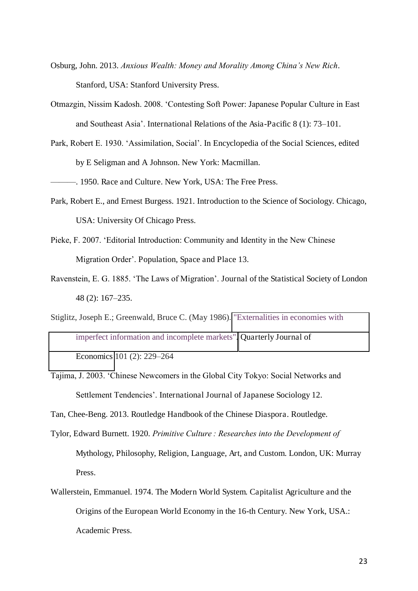- Osburg, John. 2013. *Anxious Wealth: Money and Morality Among China's New Rich*. Stanford, USA: Stanford University Press.
- Otmazgin, Nissim Kadosh. 2008. 'Contesting Soft Power: Japanese Popular Culture in East and Southeast Asia'. International Relations of the Asia-Pacific 8 (1): 73–101.
- Park, Robert E. 1930. 'Assimilation, Social'. In Encyclopedia of the Social Sciences, edited by E Seligman and A Johnson. New York: Macmillan.

———. 1950. Race and Culture. New York, USA: The Free Press.

- Park, Robert E., and Ernest Burgess. 1921. Introduction to the Science of Sociology. Chicago, USA: University Of Chicago Press.
- Pieke, F. 2007. 'Editorial Introduction: Community and Identity in the New Chinese Migration Order'. Population, Space and Place 13.
- Ravenstein, E. G. 1885. 'The Laws of Migration'. Journal of the Statistical Society of London 48 (2): 167–235.
- Stiglitz, Joseph E.; Greenwald, Bruce C. (May 1986). ["Externalities in economies with](http://www.jstor.org/stable/1891114)  [imperfect information and incomplete markets".](http://www.jstor.org/stable/1891114) [Quarterly Journal of](https://en.wikipedia.org/wiki/Quarterly_Journal_of_Economics)  [Economics](https://en.wikipedia.org/wiki/Quarterly_Journal_of_Economics) 101 (2): 229–264
- Tajima, J. 2003. 'Chinese Newcomers in the Global City Tokyo: Social Networks and Settlement Tendencies'. International Journal of Japanese Sociology 12.

Tan, Chee-Beng. 2013. Routledge Handbook of the Chinese Diaspora. Routledge.

- Tylor, Edward Burnett. 1920. *Primitive Culture: Researches into the Development of* Mythology, Philosophy, Religion, Language, Art, and Custom. London, UK: Murray Press.
- Wallerstein, Emmanuel. 1974. The Modern World System. Capitalist Agriculture and the Origins of the European World Economy in the 16-th Century. New York, USA.: Academic Press.